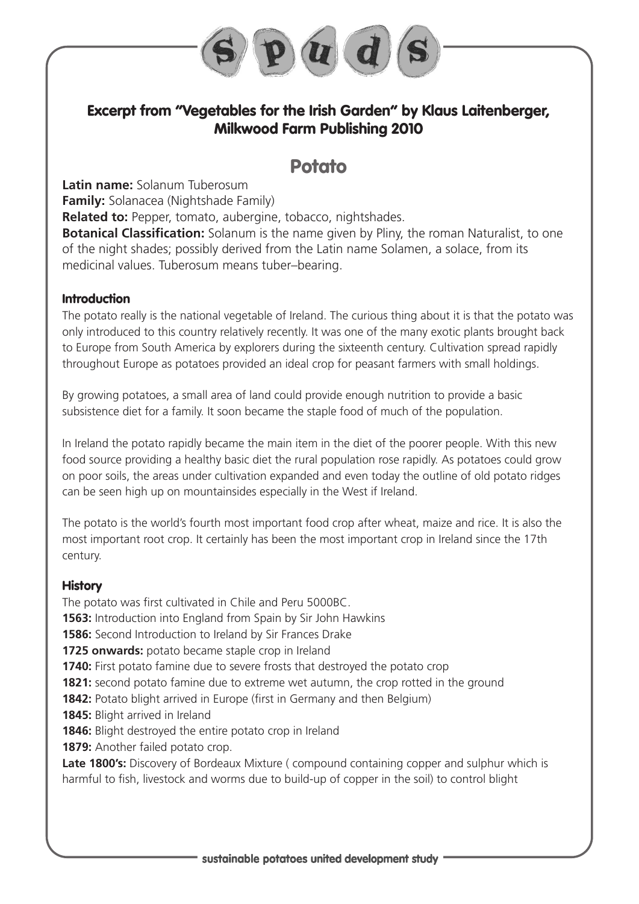

# **Excerpt from "Vegetables for the Irish Garden" by Klaus Laitenberger, Milkwood Farm Publishing 2010**

# **Potato**

**Latin name:** Solanum Tuberosum **Family:** Solanacea (Nightshade Family)

**Related to:** Pepper, tomato, aubergine, tobacco, nightshades.

**Botanical Classification:** Solanum is the name given by Pliny, the roman Naturalist, to one of the night shades; possibly derived from the Latin name Solamen, a solace, from its medicinal values. Tuberosum means tuber–bearing.

## **Introduction**

The potato really is the national vegetable of Ireland. The curious thing about it is that the potato was only introduced to this country relatively recently. It was one of the many exotic plants brought back to Europe from South America by explorers during the sixteenth century. Cultivation spread rapidly throughout Europe as potatoes provided an ideal crop for peasant farmers with small holdings.

By growing potatoes, a small area of land could provide enough nutrition to provide a basic subsistence diet for a family. It soon became the staple food of much of the population.

In Ireland the potato rapidly became the main item in the diet of the poorer people. With this new food source providing a healthy basic diet the rural population rose rapidly. As potatoes could grow on poor soils, the areas under cultivation expanded and even today the outline of old potato ridges can be seen high up on mountainsides especially in the West if Ireland.

The potato is the world's fourth most important food crop after wheat, maize and rice. It is also the most important root crop. It certainly has been the most important crop in Ireland since the 17th century.

## **History**

The potato was first cultivated in Chile and Peru 5000BC.

**1563:** Introduction into England from Spain by Sir John Hawkins

**1586:** Second Introduction to Ireland by Sir Frances Drake

**1725 onwards:** potato became staple crop in Ireland

**1740:** First potato famine due to severe frosts that destroyed the potato crop

**1821:** second potato famine due to extreme wet autumn, the crop rotted in the ground

**1842:** Potato blight arrived in Europe (first in Germany and then Belgium)

**1845:** Blight arrived in Ireland

**1846:** Blight destroyed the entire potato crop in Ireland

**1879:** Another failed potato crop.

Late 1800's: Discovery of Bordeaux Mixture (compound containing copper and sulphur which is harmful to fish, livestock and worms due to build-up of copper in the soil) to control blight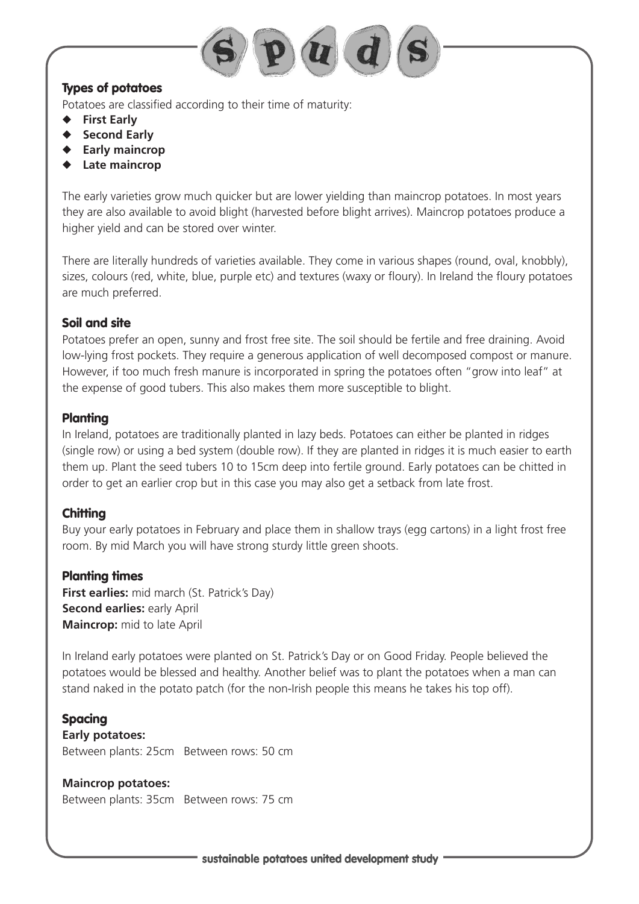

## **Types of potatoes**

Potatoes are classified according to their time of maturity:

- ◆ **First Early**
- ◆ **Second Early**
- ◆ **Early maincrop**
- Late maincrop

The early varieties grow much quicker but are lower yielding than maincrop potatoes. In most years they are also available to avoid blight (harvested before blight arrives). Maincrop potatoes produce a higher yield and can be stored over winter.

There are literally hundreds of varieties available. They come in various shapes (round, oval, knobbly), sizes, colours (red, white, blue, purple etc) and textures (waxy or floury). In Ireland the floury potatoes are much preferred.

## **Soil and site**

Potatoes prefer an open, sunny and frost free site. The soil should be fertile and free draining. Avoid low-lying frost pockets. They require a generous application of well decomposed compost or manure. However, if too much fresh manure is incorporated in spring the potatoes often "grow into leaf" at the expense of good tubers. This also makes them more susceptible to blight.

## **Planting**

In Ireland, potatoes are traditionally planted in lazy beds. Potatoes can either be planted in ridges (single row) or using a bed system (double row). If they are planted in ridges it is much easier to earth them up. Plant the seed tubers 10 to 15cm deep into fertile ground. Early potatoes can be chitted in order to get an earlier crop but in this case you may also get a setback from late frost.

## **Chitting**

Buy your early potatoes in February and place them in shallow trays (egg cartons) in a light frost free room. By mid March you will have strong sturdy little green shoots.

## **Planting times**

**First earlies:** mid march (St. Patrick's Day) **Second earlies: early April Maincrop:** mid to late April

In Ireland early potatoes were planted on St. Patrick's Day or on Good Friday. People believed the potatoes would be blessed and healthy. Another belief was to plant the potatoes when a man can stand naked in the potato patch (for the non-Irish people this means he takes his top off).

**Spacing Early potatoes:** Between plants: 25cm Between rows: 50 cm

**Maincrop potatoes:** Between plants: 35cm Between rows: 75 cm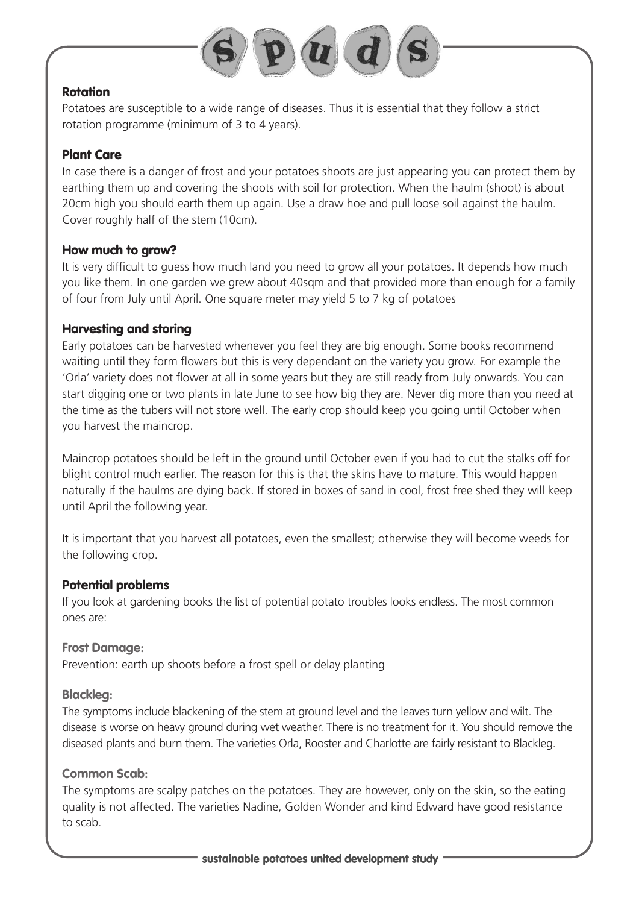

#### **Rotation**

Potatoes are susceptible to a wide range of diseases. Thus it is essential that they follow a strict rotation programme (minimum of 3 to 4 years).

#### **Plant Care**

In case there is a danger of frost and your potatoes shoots are just appearing you can protect them by earthing them up and covering the shoots with soil for protection. When the haulm (shoot) is about 20cm high you should earth them up again. Use a draw hoe and pull loose soil against the haulm. Cover roughly half of the stem (10cm).

#### **How much to grow?**

It is very difficult to guess how much land you need to grow all your potatoes. It depends how much you like them. In one garden we grew about 40sqm and that provided more than enough for a family of four from July until April. One square meter may yield 5 to 7 kg of potatoes

#### **Harvesting and storing**

Early potatoes can be harvested whenever you feel they are big enough. Some books recommend waiting until they form flowers but this is very dependant on the variety you grow. For example the 'Orla' variety does not flower at all in some years but they are still ready from July onwards. You can start digging one or two plants in late June to see how big they are. Never dig more than you need at the time as the tubers will not store well. The early crop should keep you going until October when you harvest the maincrop.

Maincrop potatoes should be left in the ground until October even if you had to cut the stalks off for blight control much earlier. The reason for this is that the skins have to mature. This would happen naturally if the haulms are dying back. If stored in boxes of sand in cool, frost free shed they will keep until April the following year.

It is important that you harvest all potatoes, even the smallest; otherwise they will become weeds for the following crop.

#### **Potential problems**

If you look at gardening books the list of potential potato troubles looks endless. The most common ones are:

#### **Frost Damage:**

Prevention: earth up shoots before a frost spell or delay planting

#### **Blackleg:**

The symptoms include blackening of the stem at ground level and the leaves turn yellow and wilt. The disease is worse on heavy ground during wet weather. There is no treatment for it. You should remove the diseased plants and burn them. The varieties Orla, Rooster and Charlotte are fairly resistant to Blackleg.

#### **Common Scab:**

The symptoms are scalpy patches on the potatoes. They are however, only on the skin, so the eating quality is not affected. The varieties Nadine, Golden Wonder and kind Edward have good resistance to scab.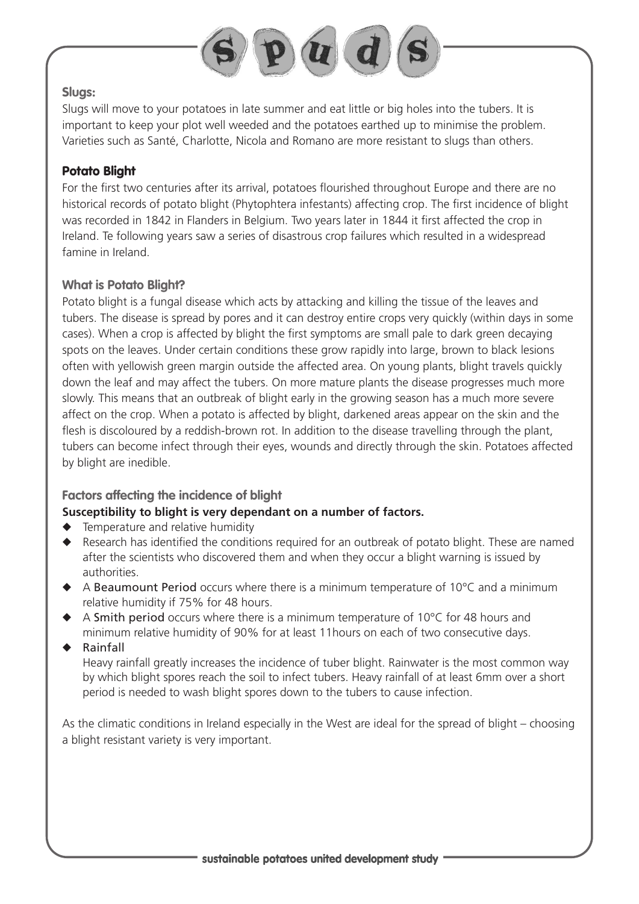

#### **Slugs:**

Slugs will move to your potatoes in late summer and eat little or big holes into the tubers. It is important to keep your plot well weeded and the potatoes earthed up to minimise the problem. Varieties such as Santé, Charlotte, Nicola and Romano are more resistant to slugs than others.

## **Potato Blight**

For the first two centuries after its arrival, potatoes flourished throughout Europe and there are no historical records of potato blight (Phytophtera infestants) affecting crop. The first incidence of blight was recorded in 1842 in Flanders in Belgium. Two years later in 1844 it first affected the crop in Ireland. Te following years saw a series of disastrous crop failures which resulted in a widespread famine in Ireland.

## **What is Potato Blight?**

Potato blight is a fungal disease which acts by attacking and killing the tissue of the leaves and tubers. The disease is spread by pores and it can destroy entire crops very quickly (within days in some cases). When a crop is affected by blight the first symptoms are small pale to dark green decaying spots on the leaves. Under certain conditions these grow rapidly into large, brown to black lesions often with yellowish green margin outside the affected area. On young plants, blight travels quickly down the leaf and may affect the tubers. On more mature plants the disease progresses much more slowly. This means that an outbreak of blight early in the growing season has a much more severe affect on the crop. When a potato is affected by blight, darkened areas appear on the skin and the flesh is discoloured by a reddish-brown rot. In addition to the disease travelling through the plant, tubers can become infect through their eyes, wounds and directly through the skin. Potatoes affected by blight are inedible.

## **Factors affecting the incidence of blight**

## **Susceptibility to blight is very dependant on a number of factors.**

- ◆ Temperature and relative humidity
- ◆ Research has identified the conditions required for an outbreak of potato blight. These are named after the scientists who discovered them and when they occur a blight warning is issued by authorities.
- $\blacklozenge$  A Beaumount Period occurs where there is a minimum temperature of 10 $\degree$ C and a minimum relative humidity if 75% for 48 hours.
- $\triangle$  A Smith period occurs where there is a minimum temperature of 10 $\degree$ C for 48 hours and minimum relative humidity of 90% for at least 11hours on each of two consecutive days.
- ◆ Rainfall

Heavy rainfall greatly increases the incidence of tuber blight. Rainwater is the most common way by which blight spores reach the soil to infect tubers. Heavy rainfall of at least 6mm over a short period is needed to wash blight spores down to the tubers to cause infection.

As the climatic conditions in Ireland especially in the West are ideal for the spread of blight – choosing a blight resistant variety is very important.